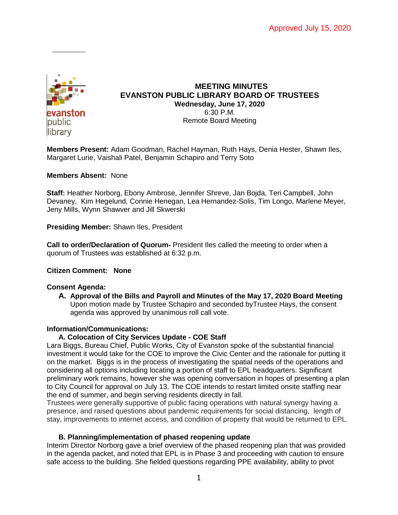

### **MEETING MINUTES EVANSTON PUBLIC LIBRARY BOARD OF TRUSTEES Wednesday, June 17, 2020** 6:30 P.M. Remote Board Meeting

**Members Present:** Adam Goodman, Rachel Hayman, Ruth Hays, Denia Hester, Shawn Iles, Margaret Lurie, Vaishali Patel, Benjamin Schapiro and Terry Soto

### **Members Absent:** None

**Staff:** Heather Norborg, Ebony Ambrose, Jennifer Shreve, Jan Bojda, Teri Campbell, John Devaney, Kim Hegelund, Connie Henegan, Lea Hernandez-Solis, Tim Longo, Marlene Meyer, Jeny Mills, Wynn Shawver and Jill Skwerski

**Presiding Member:** Shawn Iles, President

**Call to order/Declaration of Quorum-** President Iles called the meeting to order when a quorum of Trustees was established at 6:32 p.m.

### **Citizen Comment: None**

#### **Consent Agenda:**

**A. Approval of the Bills and Payroll and Minutes of the May 17, 2020 Board Meeting** Upon motion made by Trustee Schapiro and seconded byTrustee Hays, the consent agenda was approved by unanimous roll call vote.

### **Information/Communications:**

### **A. Colocation of City Services Update - COE Staff**

Lara Biggs, Bureau Chief, Public Works, City of Evanston spoke of the substantial financial investment it would take for the COE to improve the Civic Center and the rationale for putting it on the market. Biggs is in the process of investigating the spatial needs of the operations and considering all options including locating a portion of staff to EPL headquarters. Significant preliminary work remains, however she was opening conversation in hopes of presenting a plan to City Council for approval on July 13. The COE intends to restart limited onsite staffing near the end of summer, and begin serving residents directly in fall.

Trustees were generally supportive of public facing operations with natural synergy having a presence, and raised questions about pandemic requirements for social distancing, length of stay, improvements to internet access, and condition of property that would be returned to EPL.

#### **B. Planning/implementation of phased reopening update**

Interim Director Norborg gave a brief overview of the phased reopening plan that was provided in the agenda packet, and noted that EPL is in Phase 3 and proceeding with caution to ensure safe access to the building. She fielded questions regarding PPE availability, ability to pivot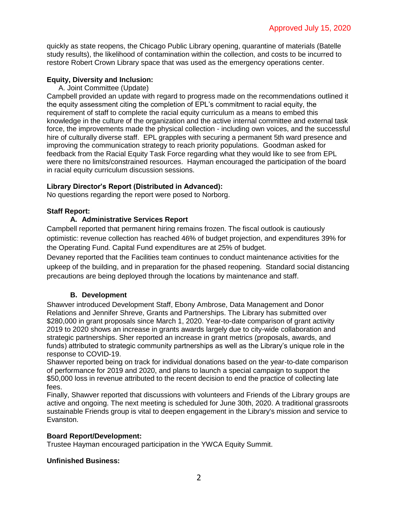quickly as state reopens, the Chicago Public Library opening, quarantine of materials (Batelle study results), the likelihood of contamination within the collection, and costs to be incurred to restore Robert Crown Library space that was used as the emergency operations center.

# **Equity, Diversity and Inclusion:**

A. Joint Committee (Update)

Campbell provided an update with regard to progress made on the recommendations outlined it the equity assessment citing the completion of EPL's commitment to racial equity, the requirement of staff to complete the racial equity curriculum as a means to embed this knowledge in the culture of the organization and the active internal committee and external task force, the improvements made the physical collection - including own voices, and the successful hire of culturally diverse staff. EPL grapples with securing a permanent 5th ward presence and improving the communication strategy to reach priority populations. Goodman asked for feedback from the Racial Equity Task Force regarding what they would like to see from EPL were there no limits/constrained resources. Hayman encouraged the participation of the board in racial equity curriculum discussion sessions.

# **Library Director's Report (Distributed in Advanced):**

No questions regarding the report were posed to Norborg.

# **Staff Report:**

# **A. Administrative Services Report**

Campbell reported that permanent hiring remains frozen. The fiscal outlook is cautiously optimistic: revenue collection has reached 46% of budget projection, and expenditures 39% for the Operating Fund. Capital Fund expenditures are at 25% of budget.

Devaney reported that the Facilities team continues to conduct maintenance activities for the upkeep of the building, and in preparation for the phased reopening. Standard social distancing precautions are being deployed through the locations by maintenance and staff.

# **B. Development**

Shawver introduced Development Staff, Ebony Ambrose, Data Management and Donor Relations and Jennifer Shreve, Grants and Partnerships. The Library has submitted over \$280,000 in grant proposals since March 1, 2020. Year-to-date comparison of grant activity 2019 to 2020 shows an increase in grants awards largely due to city-wide collaboration and strategic partnerships. Sher reported an increase in grant metrics (proposals, awards, and funds) attributed to strategic community partnerships as well as the Library's unique role in the response to COVID-19.

Shawver reported being on track for individual donations based on the year-to-date comparison of performance for 2019 and 2020, and plans to launch a special campaign to support the \$50,000 loss in revenue attributed to the recent decision to end the practice of collecting late fees.

Finally, Shawver reported that discussions with volunteers and Friends of the Library groups are active and ongoing. The next meeting is scheduled for June 30th, 2020. A traditional grassroots sustainable Friends group is vital to deepen engagement in the Library's mission and service to Evanston.

### **Board Report/Development:**

Trustee Hayman encouraged participation in the YWCA Equity Summit.

### **Unfinished Business:**